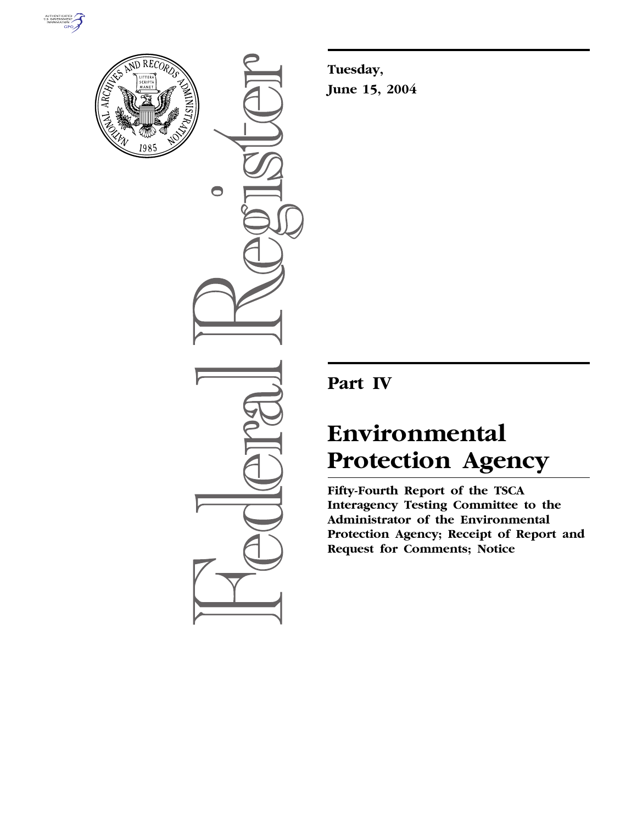



 $\bigcirc$ 

**Tuesday, June 15, 2004** 

# **Part IV**

# **Environmental Protection Agency**

**Fifty-Fourth Report of the TSCA Interagency Testing Committee to the Administrator of the Environmental Protection Agency; Receipt of Report and Request for Comments; Notice**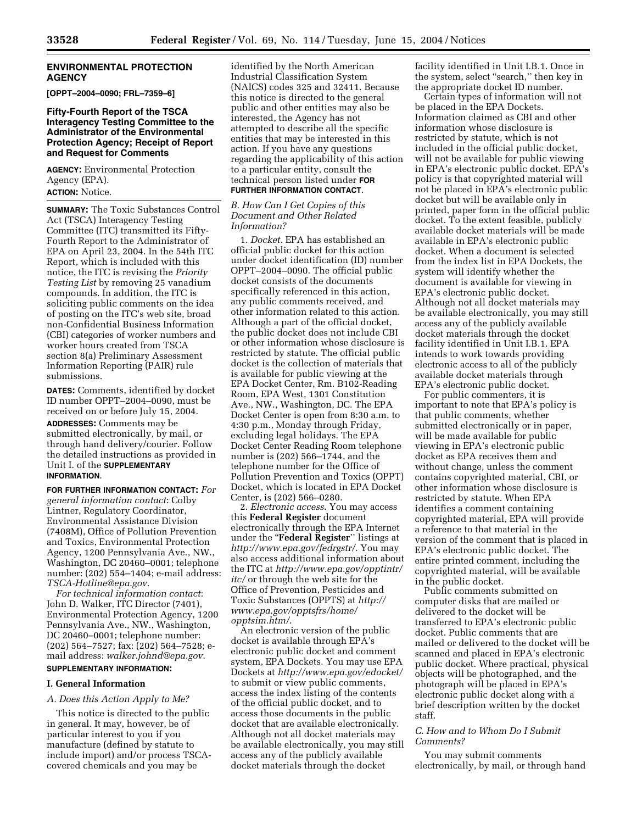#### **ENVIRONMENTAL PROTECTION AGENCY**

**[OPPT–2004–0090; FRL–7359–6]** 

#### **Fifty-Fourth Report of the TSCA Interagency Testing Committee to the Administrator of the Environmental Protection Agency; Receipt of Report and Request for Comments**

**AGENCY:** Environmental Protection Agency (EPA). **ACTION:** Notice.

**SUMMARY:** The Toxic Substances Control Act (TSCA) Interagency Testing Committee (ITC) transmitted its Fifty-Fourth Report to the Administrator of EPA on April 23, 2004. In the 54th ITC Report, which is included with this notice, the ITC is revising the *Priority Testing List* by removing 25 vanadium compounds. In addition, the ITC is soliciting public comments on the idea of posting on the ITC's web site, broad non-Confidential Business Information (CBI) categories of worker numbers and worker hours created from TSCA section 8(a) Preliminary Assessment Information Reporting (PAIR) rule submissions.

**DATES:** Comments, identified by docket ID number OPPT–2004–0090, must be received on or before July 15, 2004.

**ADDRESSES:** Comments may be submitted electronically, by mail, or through hand delivery/courier. Follow the detailed instructions as provided in Unit I. of the **SUPPLEMENTARY INFORMATION**.

**FOR FURTHER INFORMATION CONTACT:** *For general information contact*: Colby Lintner, Regulatory Coordinator, Environmental Assistance Division (7408M), Office of Pollution Prevention and Toxics, Environmental Protection Agency, 1200 Pennsylvania Ave., NW., Washington, DC 20460–0001; telephone number: (202) 554–1404; e-mail address: *TSCA-Hotline@epa.gov*.

*For technical information contact*: John D. Walker, ITC Director (7401), Environmental Protection Agency, 1200 Pennsylvania Ave., NW., Washington, DC 20460–0001; telephone number: (202) 564–7527; fax: (202) 564–7528; email address: *walker.johnd@epa.gov*. **SUPPLEMENTARY INFORMATION:** 

#### **I. General Information**

*A. Does this Action Apply to Me?* 

This notice is directed to the public in general. It may, however, be of particular interest to you if you manufacture (defined by statute to include import) and/or process TSCAcovered chemicals and you may be

identified by the North American Industrial Classification System (NAICS) codes 325 and 32411. Because this notice is directed to the general public and other entities may also be interested, the Agency has not attempted to describe all the specific entities that may be interested in this action. If you have any questions regarding the applicability of this action to a particular entity, consult the technical person listed under **FOR FURTHER INFORMATION CONTACT**.

#### *B. How Can I Get Copies of this Document and Other Related Information?*

1. *Docket.* EPA has established an official public docket for this action under docket identification (ID) number OPPT–2004–0090. The official public docket consists of the documents specifically referenced in this action, any public comments received, and other information related to this action. Although a part of the official docket, the public docket does not include CBI or other information whose disclosure is restricted by statute. The official public docket is the collection of materials that is available for public viewing at the EPA Docket Center, Rm. B102-Reading Room, EPA West, 1301 Constitution Ave., NW., Washington, DC. The EPA Docket Center is open from 8:30 a.m. to 4:30 p.m., Monday through Friday, excluding legal holidays. The EPA Docket Center Reading Room telephone number is (202) 566–1744, and the telephone number for the Office of Pollution Prevention and Toxics (OPPT) Docket, which is located in EPA Docket Center, is (202) 566–0280.

2. *Electronic access*. You may access this **Federal Register** document electronically through the EPA Internet under the ''**Federal Register**'' listings at *http://www.epa.gov/fedrgstr/*. You may also access additional information about the ITC at *http://www.epa.gov/opptintr/ itc/* or through the web site for the Office of Prevention, Pesticides and Toxic Substances (OPPTS) at *http:// www.epa.gov/opptsfrs/home/ opptsim.htm/*.

An electronic version of the public docket is available through EPA's electronic public docket and comment system, EPA Dockets. You may use EPA Dockets at *http://www.epa.gov/edocket/*  to submit or view public comments, access the index listing of the contents of the official public docket, and to access those documents in the public docket that are available electronically. Although not all docket materials may be available electronically, you may still access any of the publicly available docket materials through the docket

facility identified in Unit I.B.1. Once in the system, select "search," then key in the appropriate docket ID number.

Certain types of information will not be placed in the EPA Dockets. Information claimed as CBI and other information whose disclosure is restricted by statute, which is not included in the official public docket, will not be available for public viewing in EPA's electronic public docket. EPA's policy is that copyrighted material will not be placed in EPA's electronic public docket but will be available only in printed, paper form in the official public docket. To the extent feasible, publicly available docket materials will be made available in EPA's electronic public docket. When a document is selected from the index list in EPA Dockets, the system will identify whether the document is available for viewing in EPA's electronic public docket. Although not all docket materials may be available electronically, you may still access any of the publicly available docket materials through the docket facility identified in Unit I.B.1. EPA intends to work towards providing electronic access to all of the publicly available docket materials through EPA's electronic public docket.

For public commenters, it is important to note that EPA's policy is that public comments, whether submitted electronically or in paper, will be made available for public viewing in EPA's electronic public docket as EPA receives them and without change, unless the comment contains copyrighted material, CBI, or other information whose disclosure is restricted by statute. When EPA identifies a comment containing copyrighted material, EPA will provide a reference to that material in the version of the comment that is placed in EPA's electronic public docket. The entire printed comment, including the copyrighted material, will be available in the public docket.

Public comments submitted on computer disks that are mailed or delivered to the docket will be transferred to EPA's electronic public docket. Public comments that are mailed or delivered to the docket will be scanned and placed in EPA's electronic public docket. Where practical, physical objects will be photographed, and the photograph will be placed in EPA's electronic public docket along with a brief description written by the docket staff.

#### *C. How and to Whom Do I Submit Comments?*

You may submit comments electronically, by mail, or through hand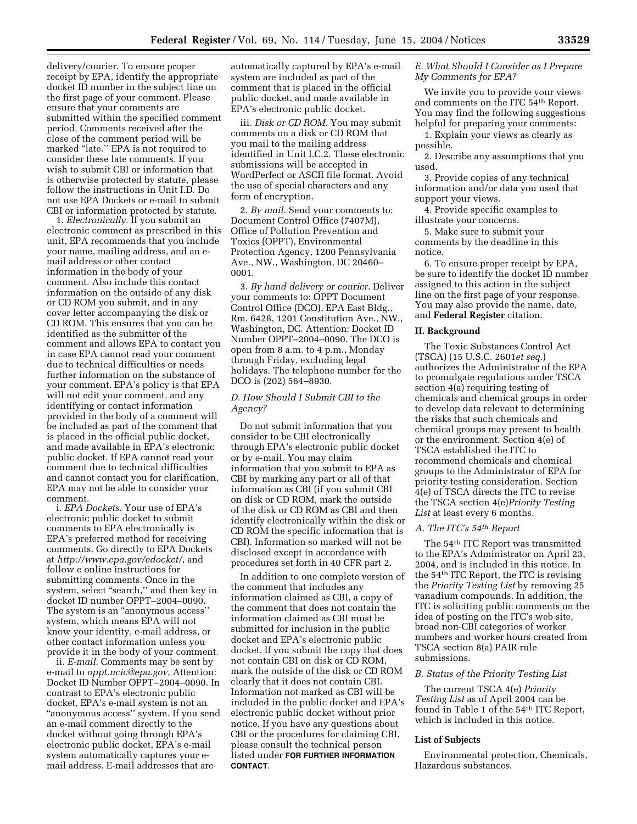delivery/courier. To ensure proper receipt by EPA, identify the appropriate docket ID number in the subject line on the first page of your comment. Please ensure that your comments are submitted within the specified comment period. Comments received after the close of the comment period will be marked "late." EPA is not required to consider these late comments. If you wish to submit CBI or information that is otherwise protected by statute, please follow the instructions in Unit I.D. Do not use EPA Dockets or e-mail to submit CBI or information protected by statute.

1. *Electronically*. If you submit an electronic comment as prescribed in this unit, EPA recommends that you include your name, mailing address, and an email address or other contact information in the body of your comment. Also include this contact information on the outside of any disk or CD ROM you submit, and in any cover letter accompanying the disk or CD ROM. This ensures that you can be identified as the submitter of the comment and allows EPA to contact you in case EPA cannot read your comment due to technical difficulties or needs further information on the substance of your comment. EPA's policy is that EPA will not edit your comment, and any identifying or contact information provided in the body of a comment will be included as part of the comment that is placed in the official public docket, and made available in EPA's electronic public docket. If EPA cannot read your comment due to technical difficulties and cannot contact you for clarification, EPA may not be able to consider your comment.

i. *EPA Dockets*. Your use of EPA's electronic public docket to submit comments to EPA electronically is EPA's preferred method for receiving comments. Go directly to EPA Dockets at *http://www.epa.gov/edocket/*, and follow e online instructions for submitting comments. Once in the system, select "search," and then key in docket ID number OPPT–2004–0090. The system is an "anonymous access" system, which means EPA will not know your identity, e-mail address, or other contact information unless you provide it in the body of your comment.

ii. *E-mail*. Comments may be sent by e-mail to *oppt.ncic@epa.gov*, Attention: Docket ID Number OPPT–2004–0090. In contrast to EPA's electronic public docket, EPA's e-mail system is not an ''anonymous access'' system. If you send an e-mail comment directly to the docket without going through EPA's electronic public docket, EPA's e-mail system automatically captures your email address. E-mail addresses that are

automatically captured by EPA's e-mail system are included as part of the comment that is placed in the official public docket, and made available in EPA's electronic public docket.

iii. *Disk or CD ROM*. You may submit comments on a disk or CD ROM that you mail to the mailing address identified in Unit I.C.2. These electronic submissions will be accepted in WordPerfect or ASCII file format. Avoid the use of special characters and any form of encryption.

2. *By mail*. Send your comments to: Document Control Office (7407M), Office of Pollution Prevention and Toxics (OPPT), Environmental Protection Agency, 1200 Pennsylvania Ave., NW., Washington, DC 20460– 0001.

3. *By hand delivery or courier*. Deliver your comments to: OPPT Document Control Office (DCO), EPA East Bldg., Rm. 6428, 1201 Constitution Ave., NW., Washington, DC. Attention: Docket ID Number OPPT–2004–0090. The DCO is open from 8 a.m. to 4 p.m., Monday through Friday, excluding legal holidays. The telephone number for the DCO is (202) 564–8930.

#### *D. How Should I Submit CBI to the Agency?*

Do not submit information that you consider to be CBI electronically through EPA's electronic public docket or by e-mail. You may claim information that you submit to EPA as CBI by marking any part or all of that information as CBI (if you submit CBI on disk or CD ROM, mark the outside of the disk or CD ROM as CBI and then identify electronically within the disk or CD ROM the specific information that is CBI). Information so marked will not be disclosed except in accordance with procedures set forth in 40 CFR part 2.

In addition to one complete version of the comment that includes any information claimed as CBI, a copy of the comment that does not contain the information claimed as CBI must be submitted for inclusion in the public docket and EPA's electronic public docket. If you submit the copy that does not contain CBI on disk or CD ROM, mark the outside of the disk or CD ROM clearly that it does not contain CBI. Information not marked as CBI will be included in the public docket and EPA's electronic public docket without prior notice. If you have any questions about CBI or the procedures for claiming CBI, please consult the technical person listed under **FOR FURTHER INFORMATION CONTACT**.

#### *E. What Should I Consider as I Prepare My Comments for EPA?*

We invite you to provide your views and comments on the ITC 54th Report. You may find the following suggestions helpful for preparing your comments:

1. Explain your views as clearly as possible.

2. Describe any assumptions that you used.

3. Provide copies of any technical information and/or data you used that support your views.

4. Provide specific examples to illustrate your concerns.

5. Make sure to submit your comments by the deadline in this notice.

6. To ensure proper receipt by EPA, be sure to identify the docket ID number assigned to this action in the subject line on the first page of your response. You may also provide the name, date, and **Federal Register** citation.

#### **II. Background**

The Toxic Substances Control Act (TSCA) (15 U.S.C. 2601*et seq*.) authorizes the Administrator of the EPA to promulgate regulations under TSCA section 4(a) requiring testing of chemicals and chemical groups in order to develop data relevant to determining the risks that such chemicals and chemical groups may present to health or the environment. Section 4(e) of TSCA established the ITC to recommend chemicals and chemical groups to the Administrator of EPA for priority testing consideration. Section 4(e) of TSCA directs the ITC to revise the TSCA section 4(e)*Priority Testing*  List at least every 6 months.

#### *A. The ITC's 54th Report*

The 54th ITC Report was transmitted to the EPA's Administrator on April 23, 2004, and is included in this notice. In the 54th ITC Report, the ITC is revising the *Priority Testing List* by removing 25 vanadium compounds. In addition, the ITC is soliciting public comments on the idea of posting on the ITC's web site, broad non-CBI categories of worker numbers and worker hours created from TSCA section 8(a) PAIR rule submissions.

#### *B. Status of the Priority Testing List*

The current TSCA 4(e) *Priority Testing List* as of April 2004 can be found in Table 1 of the 54<sup>th</sup> ITC Report, which is included in this notice.

#### **List of Subjects**

Environmental protection, Chemicals, Hazardous substances.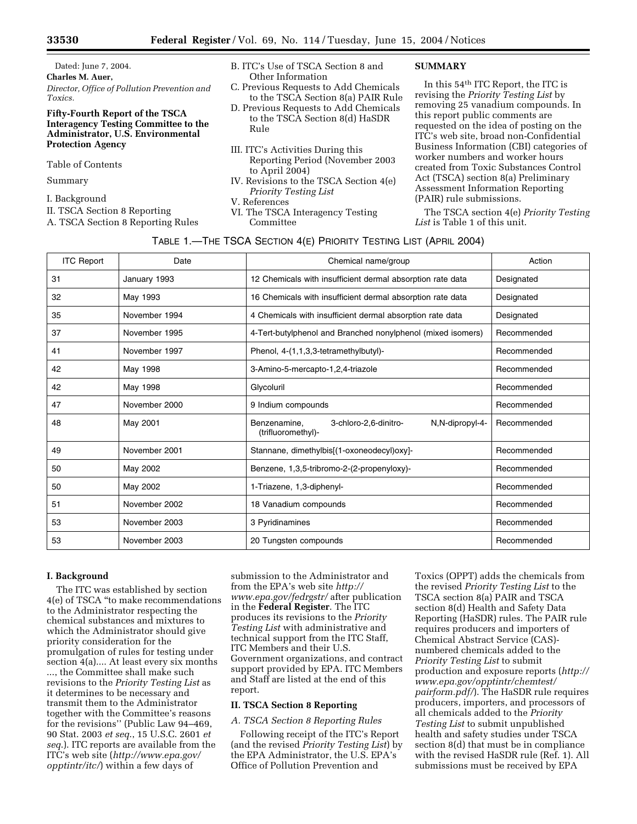Dated: June 7, 2004. **Charles M. Auer,**  *Director, Office of Pollution Prevention and Toxics.* 

#### **Fifty-Fourth Report of the TSCA Interagency Testing Committee to the Administrator, U.S. Environmental Protection Agency**

Table of Contents

Summary

I. Background

II. TSCA Section 8 Reporting

A. TSCA Section 8 Reporting Rules

- B. ITC's Use of TSCA Section 8 and Other Information
- C. Previous Requests to Add Chemicals to the TSCA Section 8(a) PAIR Rule
- D. Previous Requests to Add Chemicals to the TSCA Section 8(d) HaSDR Rule
- III. ITC's Activities During this Reporting Period (November 2003 to April 2004)
- IV. Revisions to the TSCA Section 4(e) *Priority Testing List*
- V. References
- VI. The TSCA Interagency Testing Committee

#### **SUMMARY**

In this 54th ITC Report, the ITC is revising the *Priority Testing List* by removing 25 vanadium compounds. In this report public comments are requested on the idea of posting on the ITC's web site, broad non-Confidential Business Information (CBI) categories of worker numbers and worker hours created from Toxic Substances Control Act (TSCA) section 8(a) Preliminary Assessment Information Reporting (PAIR) rule submissions.

The TSCA section 4(e) *Priority Testing List* is Table 1 of this unit.

| TABLE 1.-THE TSCA SECTION 4(E) PRIORITY TESTING LIST (APRIL 2004) |               |                                                                                |             |  |  |
|-------------------------------------------------------------------|---------------|--------------------------------------------------------------------------------|-------------|--|--|
| <b>ITC Report</b>                                                 | Date          | Chemical name/group                                                            | Action      |  |  |
| 31                                                                | January 1993  | 12 Chemicals with insufficient dermal absorption rate data                     | Designated  |  |  |
| 32                                                                | May 1993      | 16 Chemicals with insufficient dermal absorption rate data                     | Designated  |  |  |
| 35                                                                | November 1994 | 4 Chemicals with insufficient dermal absorption rate data                      | Designated  |  |  |
| 37                                                                | November 1995 | 4-Tert-butylphenol and Branched nonylphenol (mixed isomers)                    | Recommended |  |  |
| 41                                                                | November 1997 | Phenol, 4-(1,1,3,3-tetramethylbutyl)-                                          | Recommended |  |  |
| 42                                                                | May 1998      | 3-Amino-5-mercapto-1,2,4-triazole                                              | Recommended |  |  |
| 42                                                                | May 1998      | Glycoluril                                                                     | Recommended |  |  |
| 47                                                                | November 2000 | 9 Indium compounds                                                             | Recommended |  |  |
| 48                                                                | May 2001      | Benzenamine,<br>3-chloro-2,6-dinitro-<br>N.N-dipropyl-4-<br>(trifluoromethyl)- | Recommended |  |  |
| 49                                                                | November 2001 | Stannane, dimethylbis[(1-oxoneodecyl)oxy]-                                     | Recommended |  |  |
| 50                                                                | May 2002      | Benzene, 1,3,5-tribromo-2-(2-propenyloxy)-                                     | Recommended |  |  |
| 50                                                                | May 2002      | 1-Triazene, 1,3-diphenyl-                                                      | Recommended |  |  |
| 51                                                                | November 2002 | 18 Vanadium compounds                                                          | Recommended |  |  |
| 53                                                                | November 2003 | 3 Pyridinamines                                                                | Recommended |  |  |
| 53                                                                | November 2003 | 20 Tungsten compounds                                                          | Recommended |  |  |

#### **I. Background**

The ITC was established by section 4(e) of TSCA ''to make recommendations to the Administrator respecting the chemical substances and mixtures to which the Administrator should give priority consideration for the promulgation of rules for testing under section 4(a).... At least every six months ..., the Committee shall make such revisions to the *Priority Testing List* as it determines to be necessary and transmit them to the Administrator together with the Committee's reasons for the revisions'' (Public Law 94–469, 90 Stat. 2003 *et seq*., 15 U.S.C. 2601 *et seq*.). ITC reports are available from the ITC's web site (*http://www.epa.gov/ opptintr/itc/*) within a few days of

submission to the Administrator and from the EPA's web site *http:// www.epa.gov/fedrgstr/* after publication in the **Federal Register**. The ITC produces its revisions to the *Priority Testing List* with administrative and technical support from the ITC Staff, ITC Members and their U.S. Government organizations, and contract support provided by EPA. ITC Members and Staff are listed at the end of this report.

#### **II. TSCA Section 8 Reporting**

*A. TSCA Section 8 Reporting Rules* 

Following receipt of the ITC's Report (and the revised *Priority Testing List*) by the EPA Administrator, the U.S. EPA's Office of Pollution Prevention and

Toxics (OPPT) adds the chemicals from the revised *Priority Testing List* to the TSCA section 8(a) PAIR and TSCA section 8(d) Health and Safety Data Reporting (HaSDR) rules. The PAIR rule requires producers and importers of Chemical Abstract Service (CAS) numbered chemicals added to the *Priority Testing List* to submit production and exposure reports (*http:// www.epa.gov/opptintr/chemtest/ pairform.pdf/*). The HaSDR rule requires producers, importers, and processors of all chemicals added to the *Priority Testing List* to submit unpublished health and safety studies under TSCA section 8(d) that must be in compliance with the revised HaSDR rule (Ref. 1). All submissions must be received by EPA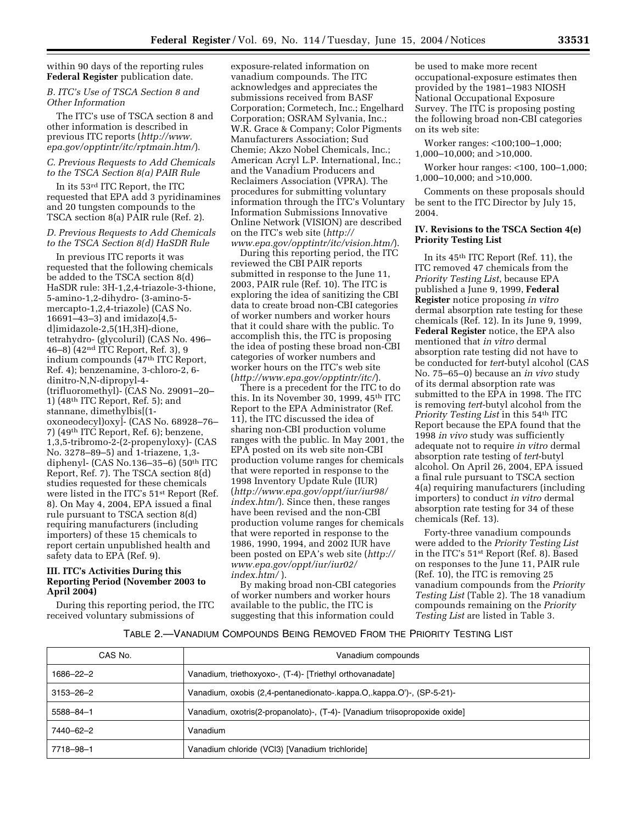#### within 90 days of the reporting rules **Federal Register** publication date.

#### *B. ITC's Use of TSCA Section 8 and Other Information*

The ITC's use of TSCA section 8 and other information is described in previous ITC reports (*http://www. epa.gov/opptintr/itc/rptmain.htm/*).

#### *C. Previous Requests to Add Chemicals to the TSCA Section 8(a) PAIR Rule*

In its 53rd ITC Report, the ITC requested that EPA add 3 pyridinamines and 20 tungsten compounds to the TSCA section 8(a) PAIR rule (Ref. 2).

#### *D. Previous Requests to Add Chemicals to the TSCA Section 8(d) HaSDR Rule*

In previous ITC reports it was requested that the following chemicals be added to the TSCA section 8(d) HaSDR rule: 3H-1,2,4-triazole-3-thione, 5-amino-1,2-dihydro- (3-amino-5 mercapto-1,2,4-triazole) (CAS No. 16691–43–3) and imidazo[4,5 d]imidazole-2,5(1H,3H)-dione, tetrahydro- (glycoluril) (CAS No. 496– 46–8) (42nd ITC Report, Ref. 3), 9 indium compounds (47th ITC Report, Ref. 4); benzenamine, 3-chloro-2, 6 dinitro-N,N-dipropyl-4- (trifluoromethyl)- (CAS No. 29091–20– 1) (48th ITC Report, Ref. 5); and stannane, dimethylbis[(1 oxoneodecyl)oxy]- (CAS No. 68928–76– 7) (49th ITC Report, Ref. 6); benzene, 1,3,5-tribromo-2-(2-propenyloxy)- (CAS No. 3278–89–5) and 1-triazene, 1,3 diphenyl- (CAS No.136–35–6) (50th ITC Report, Ref. 7). The TSCA section 8(d) studies requested for these chemicals were listed in the ITC's 51st Report (Ref. 8). On May 4, 2004, EPA issued a final rule pursuant to TSCA section 8(d) requiring manufacturers (including importers) of these 15 chemicals to report certain unpublished health and safety data to EPA (Ref. 9).

#### **III. ITC's Activities During this Reporting Period (November 2003 to April 2004)**

During this reporting period, the ITC received voluntary submissions of

exposure-related information on vanadium compounds. The ITC acknowledges and appreciates the submissions received from BASF Corporation; Cormetech, Inc.; Engelhard Corporation; OSRAM Sylvania, Inc.; W.R. Grace & Company; Color Pigments Manufacturers Association; Sud Chemie; Akzo Nobel Chemicals, Inc.; American Acryl L.P. International, Inc.; and the Vanadium Producers and Reclaimers Association (VPRA). The procedures for submitting voluntary information through the ITC's Voluntary Information Submissions Innovative Online Network (VISION) are described on the ITC's web site (*http:// www.epa.gov/opptintr/itc/vision.htm/*).

During this reporting period, the ITC reviewed the CBI PAIR reports submitted in response to the June 11, 2003, PAIR rule (Ref. 10). The ITC is exploring the idea of sanitizing the CBI data to create broad non-CBI categories of worker numbers and worker hours that it could share with the public. To accomplish this, the ITC is proposing the idea of posting these broad non-CBI categories of worker numbers and worker hours on the ITC's web site (*http://www.epa.gov/opptintr/itc/*).

There is a precedent for the ITC to do this. In its November 30, 1999, 45th ITC Report to the EPA Administrator (Ref. 11), the ITC discussed the idea of sharing non-CBI production volume ranges with the public. In May 2001, the EPA posted on its web site non-CBI production volume ranges for chemicals that were reported in response to the 1998 Inventory Update Rule (IUR) (*http://www.epa.gov/oppt/iur/iur98/ index.htm/*). Since then, these ranges have been revised and the non-CBI production volume ranges for chemicals that were reported in response to the 1986, 1990, 1994, and 2002 IUR have been posted on EPA's web site (*http:// www.epa.gov/oppt/iur/iur02/ index.htm/* ).

By making broad non-CBI categories of worker numbers and worker hours available to the public, the ITC is suggesting that this information could

be used to make more recent occupational-exposure estimates then provided by the 1981–1983 NIOSH National Occupational Exposure Survey. The ITC is proposing posting the following broad non-CBI categories on its web site:

Worker ranges: <100;100–1,000; 1,000–10,000; and >10,000.

Worker hour ranges: <100, 100–1,000; 1,000–10,000; and >10,000.

Comments on these proposals should be sent to the ITC Director by July 15, 2004.

#### **IV. Revisions to the TSCA Section 4(e) Priority Testing List**

In its 45th ITC Report (Ref. 11), the ITC removed 47 chemicals from the *Priority Testing List*, because EPA published a June 9, 1999, **Federal Register** notice proposing *in vitro* dermal absorption rate testing for these chemicals (Ref. 12). In its June 9, 1999, **Federal Register** notice, the EPA also mentioned that *in vitro* dermal absorption rate testing did not have to be conducted for *tert*-butyl alcohol (CAS No. 75–65–0) because an *in vivo* study of its dermal absorption rate was submitted to the EPA in 1998. The ITC is removing *tert*-butyl alcohol from the *Priority Testing List* in this 54th ITC Report because the EPA found that the 1998 *in vivo* study was sufficiently adequate not to require *in vitro* dermal absorption rate testing of *tert*-butyl alcohol. On April 26, 2004, EPA issued a final rule pursuant to TSCA section 4(a) requiring manufacturers (including importers) to conduct *in vitro* dermal absorption rate testing for 34 of these chemicals (Ref. 13).

Forty-three vanadium compounds were added to the *Priority Testing List* in the ITC's 51st Report (Ref. 8). Based on responses to the June 11, PAIR rule (Ref. 10), the ITC is removing 25 vanadium compounds from the *Priority Testing List* (Table 2). The 18 vanadium compounds remaining on the *Priority Testing List* are listed in Table 3.

#### TABLE 2.—VANADIUM COMPOUNDS BEING REMOVED FROM THE PRIORITY TESTING LIST

| CAS No.         | Vanadium compounds                                                         |
|-----------------|----------------------------------------------------------------------------|
| 1686-22-2       | Vanadium, triethoxyoxo-, (T-4)- [Triethyl orthovanadate]                   |
| $3153 - 26 - 2$ | Vanadium, oxobis (2,4-pentanedionato-.kappa.O,.kappa.O')-, (SP-5-21)-      |
| 5588-84-1       | Vanadium, oxotris(2-propanolato)-, (T-4)- [Vanadium triisopropoxide oxide] |
| 7440-62-2       | Vanadium                                                                   |
| 7718-98-1       | Vanadium chloride (VCl3) [Vanadium trichloride]                            |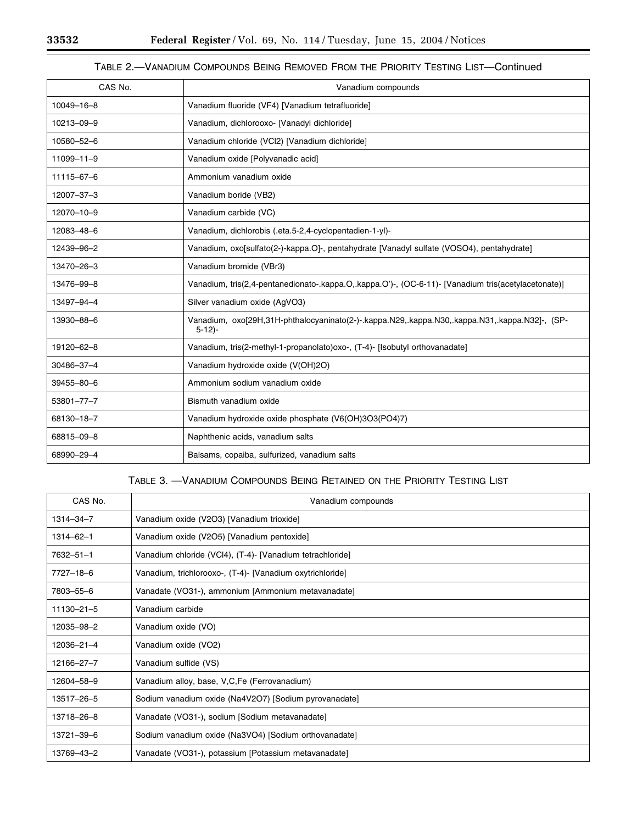۳

e<br>B

## TABLE 2.—VANADIUM COMPOUNDS BEING REMOVED FROM THE PRIORITY TESTING LIST—Continued

| CAS No.    | Vanadium compounds                                                                                       |
|------------|----------------------------------------------------------------------------------------------------------|
| 10049-16-8 | Vanadium fluoride (VF4) [Vanadium tetrafluoride]                                                         |
| 10213-09-9 | Vanadium, dichlorooxo- [Vanadyl dichloride]                                                              |
| 10580-52-6 | Vanadium chloride (VCl2) [Vanadium dichloride]                                                           |
| 11099-11-9 | Vanadium oxide [Polyvanadic acid]                                                                        |
| 11115-67-6 | Ammonium vanadium oxide                                                                                  |
| 12007-37-3 | Vanadium boride (VB2)                                                                                    |
| 12070-10-9 | Vanadium carbide (VC)                                                                                    |
| 12083-48-6 | Vanadium, dichlorobis (.eta.5-2,4-cyclopentadien-1-yl)-                                                  |
| 12439-96-2 | Vanadium, oxo[sulfato(2-)-kappa.O]-, pentahydrate [Vanadyl sulfate (VOSO4), pentahydrate]                |
| 13470-26-3 | Vanadium bromide (VBr3)                                                                                  |
| 13476-99-8 | Vanadium, tris(2,4-pentanedionato-.kappa.O,.kappa.O')-, (OC-6-11)- [Vanadium tris(acetylacetonate)]      |
| 13497-94-4 | Silver vanadium oxide (AgVO3)                                                                            |
| 13930-88-6 | Vanadium, oxo[29H,31H-phthalocyaninato(2-)-.kappa.N29,.kappa.N30,.kappa.N31,.kappa.N32]-, (SP-<br>$5-12$ |
| 19120-62-8 | Vanadium, tris(2-methyl-1-propanolato)oxo-, (T-4)- [Isobutyl orthovanadate]                              |
| 30486-37-4 | Vanadium hydroxide oxide (V(OH)2O)                                                                       |
| 39455-80-6 | Ammonium sodium vanadium oxide                                                                           |
| 53801-77-7 | Bismuth vanadium oxide                                                                                   |
| 68130-18-7 | Vanadium hydroxide oxide phosphate (V6(OH)3O3(PO4)7)                                                     |
| 68815-09-8 | Naphthenic acids, vanadium salts                                                                         |
| 68990-29-4 | Balsams, copaiba, sulfurized, vanadium salts                                                             |

### TABLE 3. —VANADIUM COMPOUNDS BEING RETAINED ON THE PRIORITY TESTING LIST

| CAS No.          | Vanadium compounds                                        |
|------------------|-----------------------------------------------------------|
| 1314-34-7        | Vanadium oxide (V2O3) [Vanadium trioxide]                 |
| 1314-62-1        | Vanadium oxide (V2O5) [Vanadium pentoxide]                |
| $7632 - 51 - 1$  | Vanadium chloride (VCl4), (T-4) [Vanadium tetrachloride]  |
| 7727-18-6        | Vanadium, trichlorooxo-, (T-4)- [Vanadium oxytrichloride] |
| 7803-55-6        | Vanadate (VO31-), ammonium [Ammonium metavanadate]        |
| $11130 - 21 - 5$ | Vanadium carbide                                          |
| 12035-98-2       | Vanadium oxide (VO)                                       |
| 12036-21-4       | Vanadium oxide (VO2)                                      |
| 12166-27-7       | Vanadium sulfide (VS)                                     |
| 12604-58-9       | Vanadium alloy, base, V,C,Fe (Ferrovanadium)              |
| 13517–26–5       | Sodium vanadium oxide (Na4V2O7) [Sodium pyrovanadate]     |
| 13718-26-8       | Vanadate (VO31-), sodium [Sodium metavanadate]            |
| 13721–39–6       | Sodium vanadium oxide (Na3VO4) [Sodium orthovanadate]     |
| 13769-43-2       | Vanadate (VO31-), potassium [Potassium metavanadate]      |